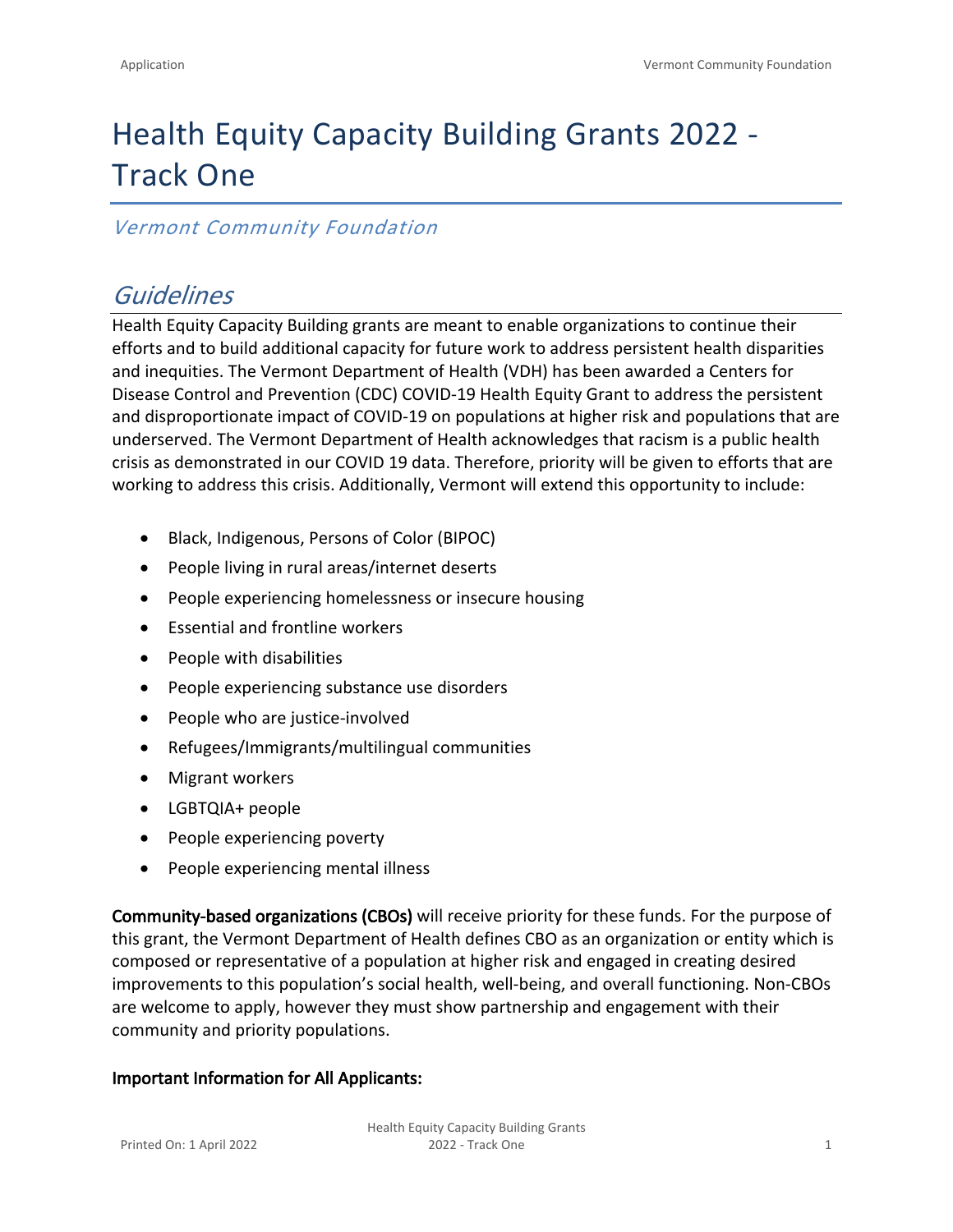# Health Equity Capacity Building Grants 2022 - Track One

### *Vermont Community Foundation*

## *Guidelines*

Health Equity Capacity Building grants are meant to enable organizations to continue their efforts and to build additional capacity for future work to address persistent health disparities and inequities. The Vermont Department of Health (VDH) has been awarded a Centers for Disease Control and Prevention (CDC) COVID-19 Health Equity Grant to address the persistent and disproportionate impact of COVID-19 on populations at higher risk and populations that are underserved. The Vermont Department of Health acknowledges that racism is a public health crisis as demonstrated in our COVID 19 data. Therefore, priority will be given to efforts that are working to address this crisis. Additionally, Vermont will extend this opportunity to include:

- Black, Indigenous, Persons of Color (BIPOC)
- People living in rural areas/internet deserts
- People experiencing homelessness or insecure housing
- Essential and frontline workers
- People with disabilities
- People experiencing substance use disorders
- People who are justice-involved
- Refugees/Immigrants/multilingual communities
- Migrant workers
- LGBTQIA+ people
- People experiencing poverty
- People experiencing mental illness

**Community-based organizations (CBOs)** will receive priority for these funds. For the purpose of this grant, the Vermont Department of Health defines CBO as an organization or entity which is composed or representative of a population at higher risk and engaged in creating desired improvements to this population's social health, well-being, and overall functioning. Non-CBOs are welcome to apply, however they must show partnership and engagement with their community and priority populations.

#### **Important Information for All Applicants:**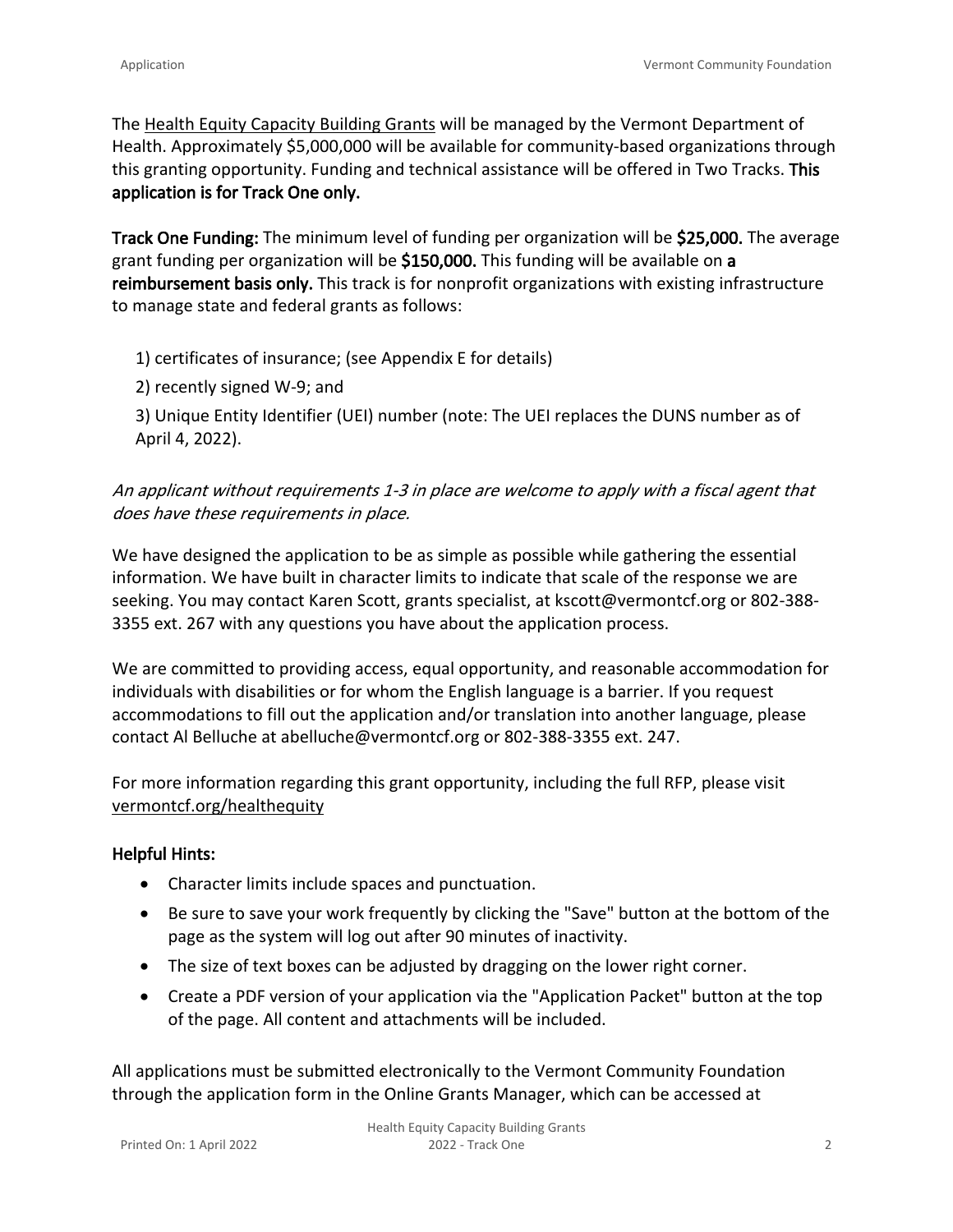The [Health Equity Capacity Building Grants](https://vermontcf.org/healthequity) will be managed by the Vermont Department of Health. Approximately \$5,000,000 will be available for community-based organizations through this granting opportunity. Funding and technical assistance will be offered in Two Tracks. **This application is for Track One only.**

**Track One Funding:** The minimum level of funding per organization will be **\$25,000.** The average grant funding per organization will be **\$150,000.** This funding will be available on **a reimbursement basis only.** This track is for nonprofit organizations with existing infrastructure to manage state and federal grants as follows:

1) certificates of insurance; (see Appendix E for details)

2) recently signed W-9; and

3) Unique Entity Identifier (UEI) number (note: The UEI replaces the DUNS number as of April 4, 2022).

#### *An applicant without requirements 1-3 in place are welcome to apply with a fiscal agent that does have these requirements in place.*

We have designed the application to be as simple as possible while gathering the essential information. We have built in character limits to indicate that scale of the response we are seeking. You may contact Karen Scott, grants specialist, at [kscott@vermontcf.org](mailto:kscott@vermontcf.org?subject=Health%20Equity%20Grant) or 802-388- 3355 ext. 267 with any questions you have about the application process.

We are committed to providing access, equal opportunity, and reasonable accommodation for individuals with disabilities or for whom the English language is a barrier. If you request accommodations to fill out the application and/or translation into another language, please contact Al Belluche at [abelluche@vermontcf.org](mailto:abelluche@vermontcf.org?subject=Health%20Equity%20Grant) or 802-388-3355 ext. 247.

For more information regarding this grant opportunity, including the full RFP, please visit [vermontcf.org/healthequity](https://vermontcf.org/our-impact/programs-and-funds/health-equity/)

#### **Helpful Hints:**

- Character limits include spaces and punctuation.
- Be sure to save your work frequently by clicking the "Save" button at the bottom of the page as the system will log out after 90 minutes of inactivity.
- The size of text boxes can be adjusted by dragging on the lower right corner.
- Create a PDF version of your application via the "Application Packet" button at the top of the page. All content and attachments will be included.

All applications must be submitted electronically to the Vermont Community Foundation through the application form in the Online Grants Manager, which can be accessed at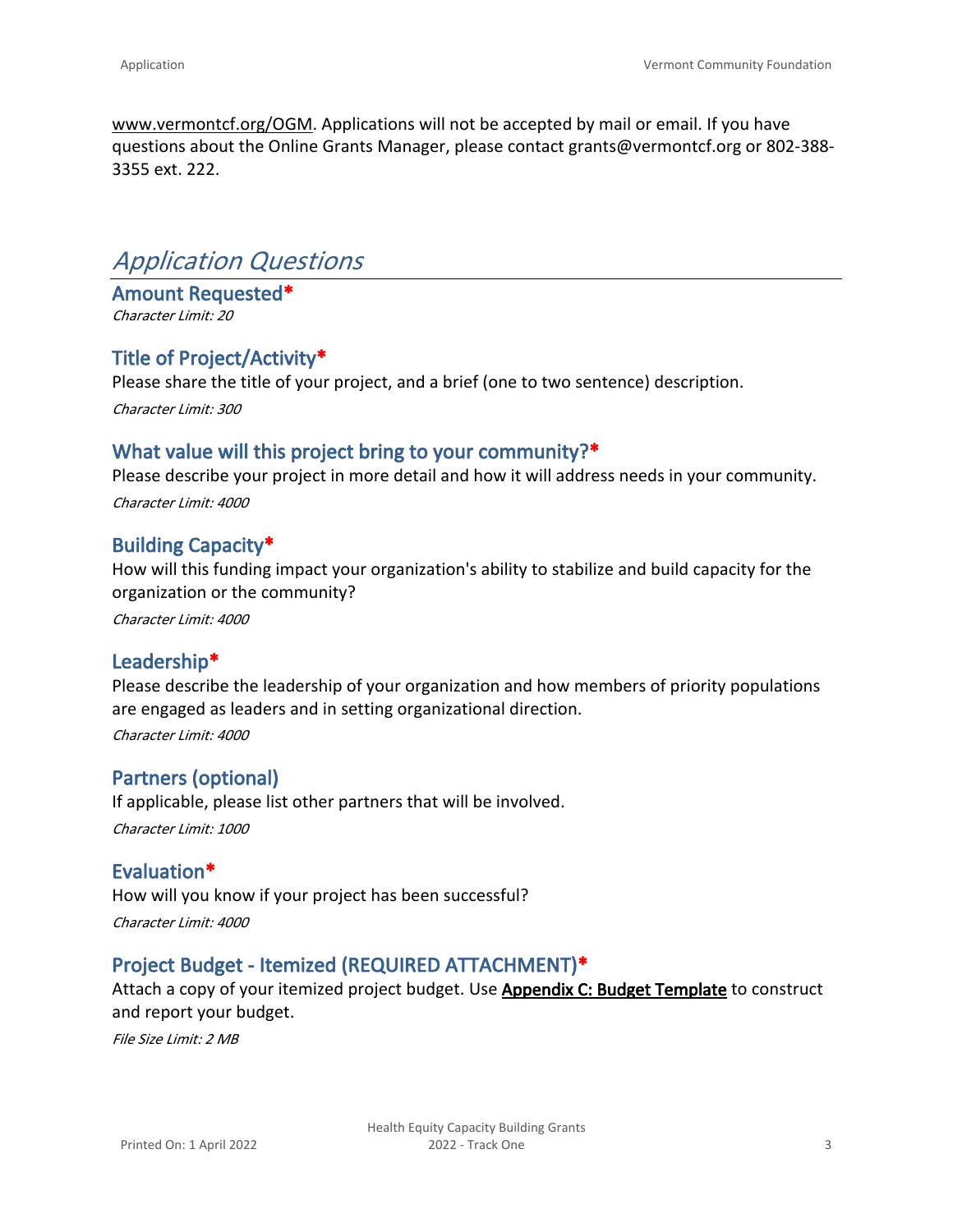[www.vermontcf.org/OGM.](http://www.vermontcf.org/OGM) Applications will not be accepted by mail or email. If you have questions about the Online Grants Manager, please contact grants@vermontcf.org or 802-388- 3355 ext. 222.

### *Application Questions*

**Amount Requested\*** *Character Limit: 20*

#### **Title of Project/Activity\***

Please share the title of your project, and a brief (one to two sentence) description.

*Character Limit: 300*

#### **What value will this project bring to your community?\***

Please describe your project in more detail and how it will address needs in your community. *Character Limit: 4000*

#### **Building Capacity\***

How will this funding impact your organization's ability to stabilize and build capacity for the organization or the community?

*Character Limit: 4000*

#### **Leadership\***

Please describe the leadership of your organization and how members of priority populations are engaged as leaders and in setting organizational direction. *Character Limit: 4000*

#### **Partners (optional)**

If applicable, please list other partners that will be involved. *Character Limit: 1000*

#### **Evaluation\***

How will you know if your project has been successful? *Character Limit: 4000*

#### **Project Budget - Itemized (REQUIRED ATTACHMENT)\***

Attach a copy of your itemized project budget. Use **[Appendix C: Budget Template](https://vermontcf.org/assets/Application-Sample-PDFs/RFP_Health_Equity_Appx-C_Budget.pdf?vid=3)** to construct and report your budget.

*File Size Limit: 2 MB*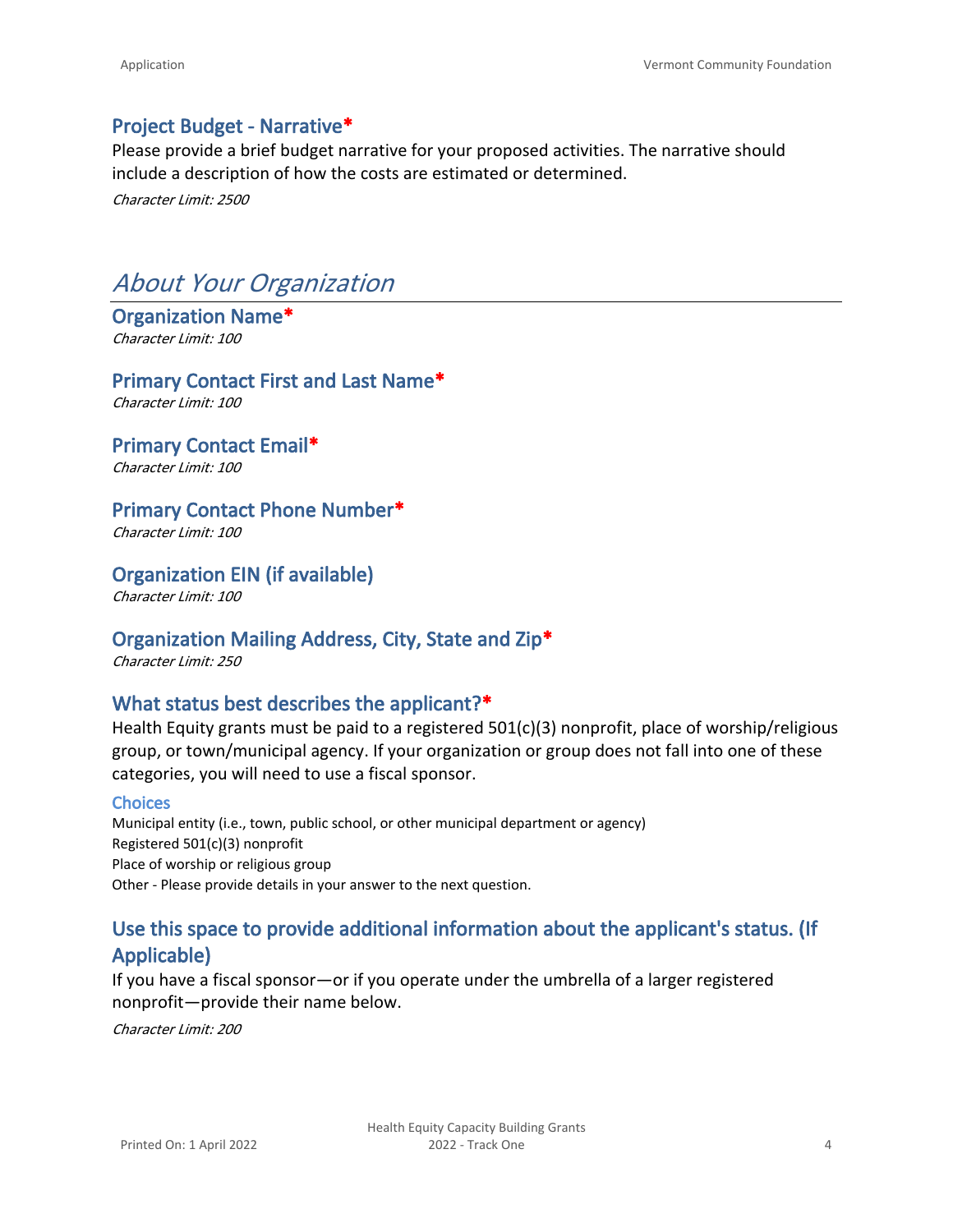#### **Project Budget - Narrative\***

Please provide a brief budget narrative for your proposed activities. The narrative should include a description of how the costs are estimated or determined.

*Character Limit: 2500*

## *About Your Organization*

#### **Organization Name\*** *Character Limit: 100*

#### **Primary Contact First and Last Name\***

*Character Limit: 100*

#### **Primary Contact Email\***

*Character Limit: 100*

#### **Primary Contact Phone Number\***

*Character Limit: 100*

#### **Organization EIN (if available)**

*Character Limit: 100*

#### **Organization Mailing Address, City, State and Zip\***

*Character Limit: 250*

#### **What status best describes the applicant?\***

Health Equity grants must be paid to a registered  $501(c)(3)$  nonprofit, place of worship/religious group, or town/municipal agency. If your organization or group does not fall into one of these categories, you will need to use a fiscal sponsor.

#### **Choices**

Municipal entity (i.e., town, public school, or other municipal department or agency) Registered 501(c)(3) nonprofit Place of worship or religious group Other - Please provide details in your answer to the next question.

### **Use this space to provide additional information about the applicant's status. (If Applicable)**

If you have a fiscal sponsor—or if you operate under the umbrella of a larger registered nonprofit—provide their name below.

*Character Limit: 200*